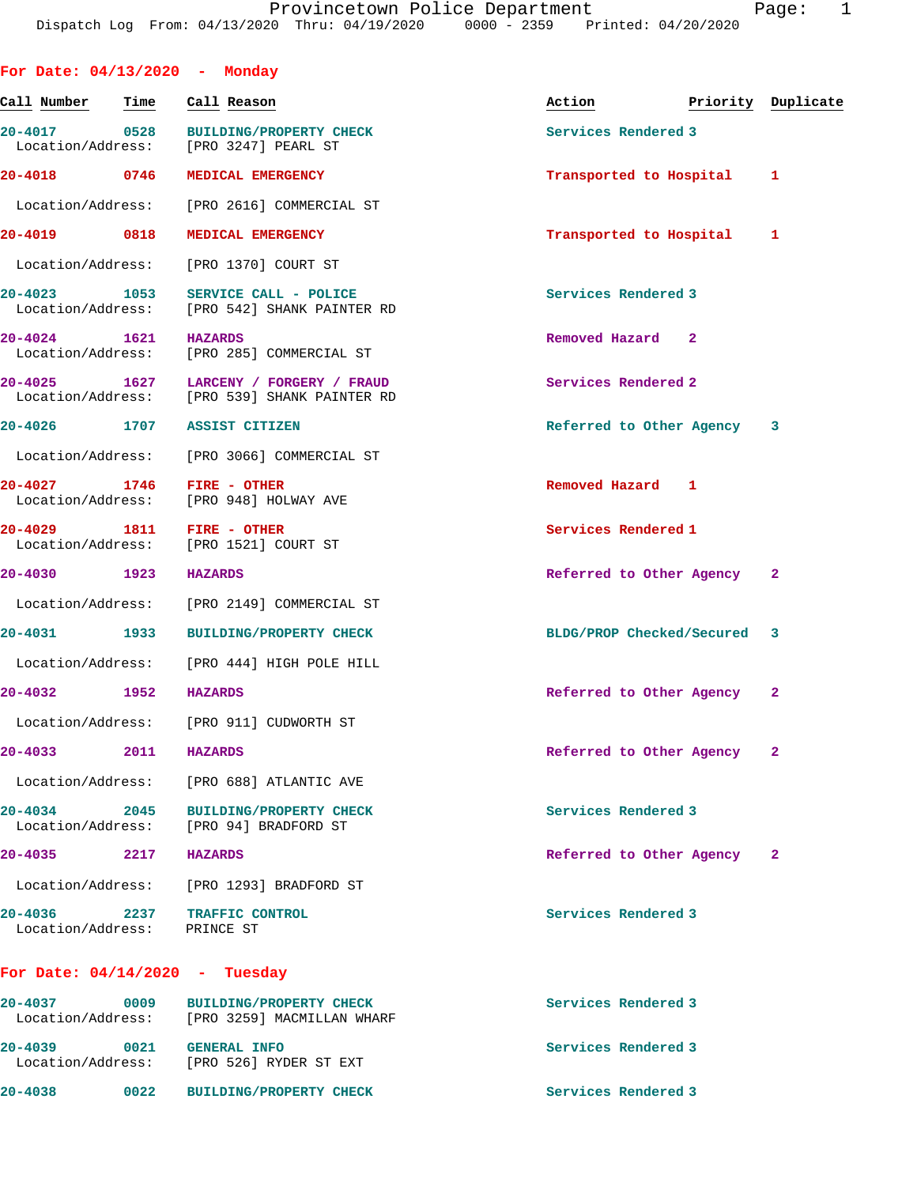| For Date: $04/13/2020 -$ Monday   |      |                                                                                        |                             |                    |
|-----------------------------------|------|----------------------------------------------------------------------------------------|-----------------------------|--------------------|
| Call Number                       | Time | Call Reason                                                                            | Action                      | Priority Duplicate |
| 20-4017 0528<br>Location/Address: |      | <b>BUILDING/PROPERTY CHECK</b><br>[PRO 3247] PEARL ST                                  | Services Rendered 3         |                    |
| 20-4018 0746                      |      | MEDICAL EMERGENCY                                                                      | Transported to Hospital     | $\mathbf{1}$       |
| Location/Address:                 |      | [PRO 2616] COMMERCIAL ST                                                               |                             |                    |
| 20-4019 0818                      |      | MEDICAL EMERGENCY                                                                      | Transported to Hospital 1   |                    |
| Location/Address:                 |      | [PRO 1370] COURT ST                                                                    |                             |                    |
| 20-4023 1053                      |      | SERVICE CALL - POLICE<br>Location/Address: [PRO 542] SHANK PAINTER RD                  | Services Rendered 3         |                    |
| $20 - 4024$                       | 1621 | <b>HAZARDS</b><br>Location/Address: [PRO 285] COMMERCIAL ST                            | Removed Hazard 2            |                    |
|                                   |      | 20-4025 1627 LARCENY / FORGERY / FRAUD<br>Location/Address: [PRO 539] SHANK PAINTER RD | Services Rendered 2         |                    |
| 20-4026 1707                      |      | <b>ASSIST CITIZEN</b>                                                                  | Referred to Other Agency 3  |                    |
|                                   |      | Location/Address: [PRO 3066] COMMERCIAL ST                                             |                             |                    |
| 20-4027 1746<br>Location/Address: |      | FIRE - OTHER<br>[PRO 948] HOLWAY AVE                                                   | Removed Hazard 1            |                    |
| 20-4029 1811                      |      | FIRE - OTHER<br>Location/Address: [PRO 1521] COURT ST                                  | Services Rendered 1         |                    |
| 20-4030 1923                      |      | <b>HAZARDS</b>                                                                         | Referred to Other Agency    | $\mathbf{2}$       |
|                                   |      | Location/Address: [PRO 2149] COMMERCIAL ST                                             |                             |                    |
| 20-4031 1933                      |      | <b>BUILDING/PROPERTY CHECK</b>                                                         | BLDG/PROP Checked/Secured 3 |                    |
|                                   |      | Location/Address: [PRO 444] HIGH POLE HILL                                             |                             |                    |
| 20-4032                           | 1952 | <b>HAZARDS</b>                                                                         | Referred to Other Agency    | $\mathbf{2}$       |
|                                   |      | Location/Address: [PRO 911] CUDWORTH ST                                                |                             |                    |
| 20-4033                           | 2011 | <b>HAZARDS</b>                                                                         | Referred to Other Agency 2  |                    |
| Location/Address:                 |      | [PRO 688] ATLANTIC AVE                                                                 |                             |                    |
| 20-4034                           | 2045 | <b>BUILDING/PROPERTY CHECK</b><br>Location/Address: [PRO 94] BRADFORD ST               | Services Rendered 3         |                    |
| $20 - 4035$                       | 2217 | <b>HAZARDS</b>                                                                         | Referred to Other Agency    | $\mathbf{2}$       |
| Location/Address:                 |      | [PRO 1293] BRADFORD ST                                                                 |                             |                    |
| 20-4036<br>Location/Address:      | 2237 | TRAFFIC CONTROL<br>PRINCE ST                                                           | Services Rendered 3         |                    |
|                                   |      | For Date: $04/14/2020$ - Tuesday                                                       |                             |                    |
| $20 - 4037$                       | 0009 | <b>BUILDING/PROPERTY CHECK</b><br>Location/Address: [PRO 3259] MACMILLAN WHARF         | Services Rendered 3         |                    |

|                     | [PRO 3259] MACMILLAN WHARF             | Location/Address: |                                  |
|---------------------|----------------------------------------|-------------------|----------------------------------|
| Services Rendered 3 | GENERAL INFO<br>FPRO 5261 RYDER ST EXT | 0021              | $20 - 4039$<br>Location/Address: |
| Services Rendered 3 | <b>BUILDING/PROPERTY CHECK</b>         | 0022              | $20 - 4038$                      |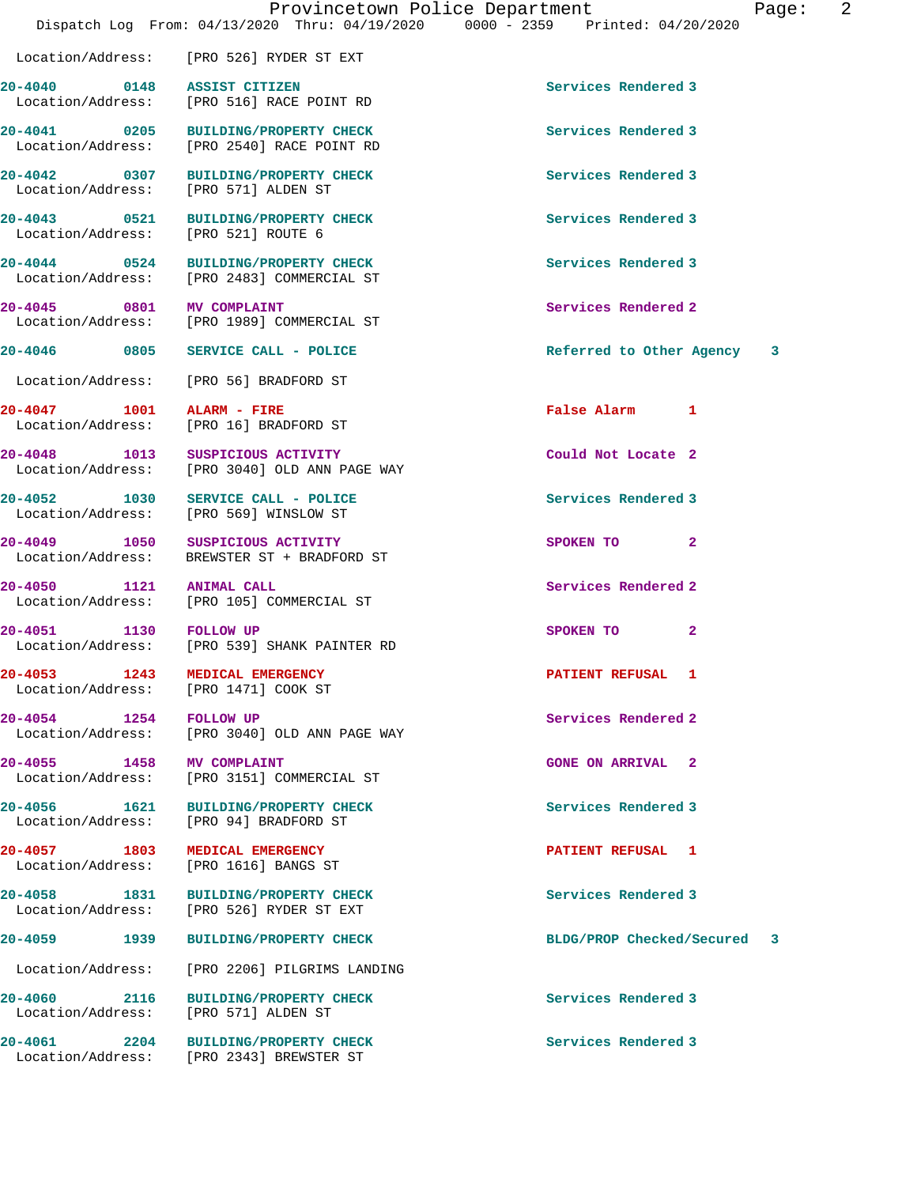**20-4057 1803 MEDICAL EMERGENCY PATIENT REFUSAL 1** 

Location/Address: [PRO 571] ALDEN ST

 Location/Address: [PRO 2540] RACE POINT RD **20-4042 0307 BUILDING/PROPERTY CHECK Services Rendered 3**  Location/Address: [PRO 571] ALDEN ST

**20-4043 0521 BUILDING/PROPERTY CHECK Services Rendered 3**  Location/Address: [PRO 521] ROUTE 6

**20-4044 0524 BUILDING/PROPERTY CHECK Services Rendered 3**  Location/Address: [PRO 2483] COMMERCIAL ST

**20-4045 0801 MV COMPLAINT Services Rendered 2**  Location/Address: [PRO 1989] COMMERCIAL ST

Location/Address: [PRO 56] BRADFORD ST

**20-4047 1001 ALARM - FIRE False Alarm 1**  Location/Address: [PRO 16] BRADFORD ST

**20-4048 1013 SUSPICIOUS ACTIVITY Could Not Locate 2**  Location/Address: [PRO 3040] OLD ANN PAGE WAY

**20-4052 1030 SERVICE CALL - POLICE Services Rendered 3**  Location/Address: [PRO 569] WINSLOW ST

**20-4049 1050 SUSPICIOUS ACTIVITY SPOKEN TO 2**  Location/Address: BREWSTER ST + BRADFORD ST

**20-4050 1121 ANIMAL CALL Services Rendered 2**  Location/Address: [PRO 105] COMMERCIAL ST

**20-4051 1130 FOLLOW UP SPOKEN TO 2**<br>
Location/Address: [PRO 539] SHANK PAINTER RD [PRO 539] SHANK PAINTER RD

Location/Address: [PRO 1471] COOK ST

**20-4054 1254 FOLLOW UP 1254 FOLLOW UP Services Rendered 2 1254 I FOLLOW UP I ICCO ICCO ICCO ICCO ICCO ICCO ICCO ICCO ICCO ICCO ICCO ICCO ICCO ICCO ICCO ICCO ICCO ICCO IC** [PRO 3040] OLD ANN PAGE WAY

**20-4055 1458 MV COMPLAINT GONE ON ARRIVAL 2**  Location/Address: [PRO 3151] COMMERCIAL ST

**20-4056 1621 BUILDING/PROPERTY CHECK Services Rendered 3**  [PRO 94] BRADFORD ST

Location/Address: [PRO 1616] BANGS ST

**20-4058 1831 BUILDING/PROPERTY CHECK Services Rendered 3**  Location/Address: [PRO 526] RYDER ST EXT

Location/Address: [PRO 2206] PILGRIMS LANDING

**20-4060 2116 BUILDING/PROPERTY CHECK Services Rendered 3** 

**20-4061 2204 BUILDING/PROPERTY CHECK Services Rendered 3**  Location/Address: [PRO 2343] BREWSTER ST

**20-4041 0205 BUILDING/PROPERTY CHECK Services Rendered 3** 

**20-4046 0805 SERVICE CALL - POLICE Referred to Other Agency 3**

**20-4053 1243 MEDICAL EMERGENCY PATIENT REFUSAL 1** 

**20-4059 1939 BUILDING/PROPERTY CHECK BLDG/PROP Checked/Secured 3**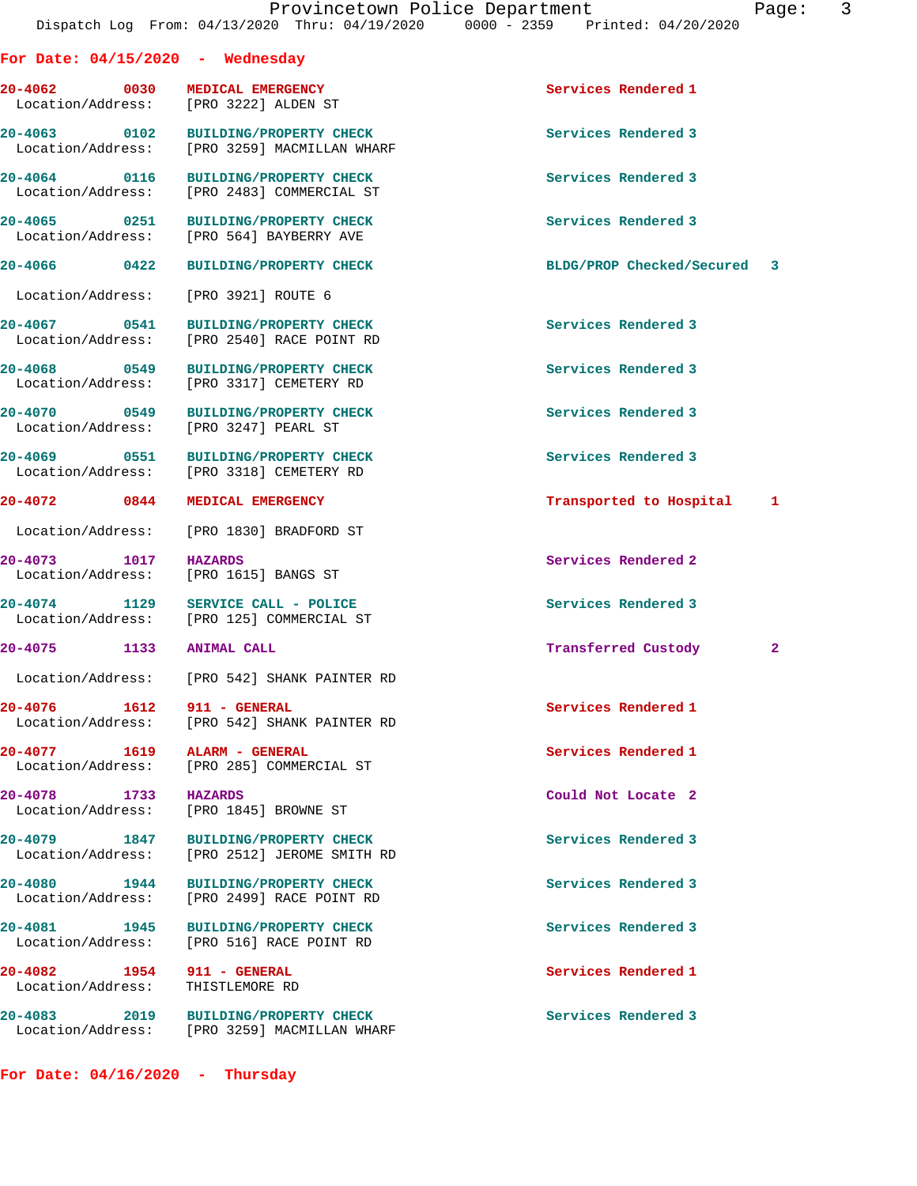|               | Page |  |
|---------------|------|--|
| $\sim$ $\sim$ |      |  |

|                          | For Date: $04/15/2020$ - Wednesday                                                   |                             |              |
|--------------------------|--------------------------------------------------------------------------------------|-----------------------------|--------------|
|                          | 20-4062 0030 MEDICAL EMERGENCY<br>Location/Address: [PRO 3222] ALDEN ST              | Services Rendered 1         |              |
|                          | 20-4063 0102 BUILDING/PROPERTY CHECK<br>Location/Address: [PRO 3259] MACMILLAN WHARF | Services Rendered 3         |              |
|                          | 20-4064 0116 BUILDING/PROPERTY CHECK<br>Location/Address: [PRO 2483] COMMERCIAL ST   | Services Rendered 3         |              |
|                          | 20-4065 0251 BUILDING/PROPERTY CHECK<br>Location/Address: [PRO 564] BAYBERRY AVE     | Services Rendered 3         |              |
| 20-4066 0422             | <b>BUILDING/PROPERTY CHECK</b>                                                       | BLDG/PROP Checked/Secured 3 |              |
|                          | Location/Address: [PRO 3921] ROUTE 6                                                 |                             |              |
| 20-4067 0541             | <b>BUILDING/PROPERTY CHECK</b><br>Location/Address: [PRO 2540] RACE POINT RD         | Services Rendered 3         |              |
|                          | 20-4068 0549 BUILDING/PROPERTY CHECK<br>Location/Address: [PRO 3317] CEMETERY RD     | Services Rendered 3         |              |
|                          | 20-4070 0549 BUILDING/PROPERTY CHECK<br>Location/Address: [PRO 3247] PEARL ST        | Services Rendered 3         |              |
|                          | 20-4069 0551 BUILDING/PROPERTY CHECK<br>Location/Address: [PRO 3318] CEMETERY RD     | Services Rendered 3         |              |
| 20-4072 0844             | <b>MEDICAL EMERGENCY</b>                                                             | Transported to Hospital 1   |              |
|                          | Location/Address: [PRO 1830] BRADFORD ST                                             |                             |              |
| 20-4073 1017             | HAZARDS<br>Location/Address: [PRO 1615] BANGS ST                                     | Services Rendered 2         |              |
|                          | 20-4074 1129 SERVICE CALL - POLICE<br>Location/Address: [PRO 125] COMMERCIAL ST      | Services Rendered 3         |              |
| 20-4075 1133 ANIMAL CALL |                                                                                      | Transferred Custody         | $\mathbf{2}$ |
|                          | Location/Address: [PRO 542] SHANK PAINTER RD                                         |                             |              |
| 20-4076 1612             | 911 - GENERAL<br>Location/Address: [PRO 542] SHANK PAINTER RD                        | Services Rendered 1         |              |
|                          | 20-4077 1619 ALARM - GENERAL<br>Location/Address: [PRO 285] COMMERCIAL ST            | Services Rendered 1         |              |
| 20-4078 1733 HAZARDS     | Location/Address: [PRO 1845] BROWNE ST                                               | Could Not Locate 2          |              |
|                          | 20-4079 1847 BUILDING/PROPERTY CHECK<br>Location/Address: [PRO 2512] JEROME SMITH RD | Services Rendered 3         |              |
|                          | 20-4080 1944 BUILDING/PROPERTY CHECK<br>Location/Address: [PRO 2499] RACE POINT RD   | Services Rendered 3         |              |
|                          | 20-4081 1945 BUILDING/PROPERTY CHECK<br>Location/Address: [PRO 516] RACE POINT RD    | Services Rendered 3         |              |
|                          | 20-4082 1954 911 - GENERAL<br>Location/Address: THISTLEMORE RD                       | Services Rendered 1         |              |
|                          | 20-4083 2019 BUILDING/PROPERTY CHECK<br>Location/Address: [PRO 3259] MACMILLAN WHARF | Services Rendered 3         |              |
|                          |                                                                                      |                             |              |

**For Date: 04/16/2020 - Thursday**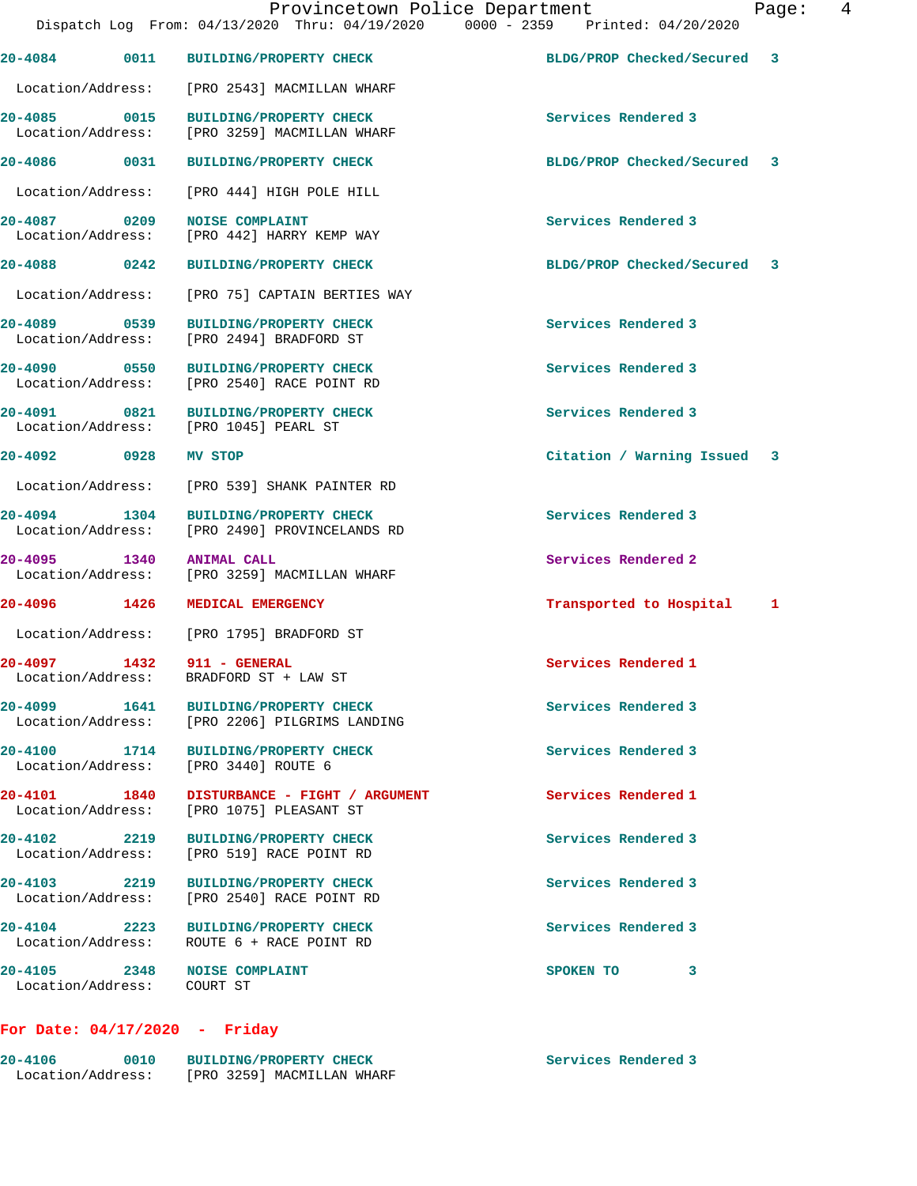|                                                            |                                                                                         | Dispatch Log From: 04/13/2020 Thru: 04/19/2020 0000 - 2359 Printed: 04/20/2020 |  |
|------------------------------------------------------------|-----------------------------------------------------------------------------------------|--------------------------------------------------------------------------------|--|
| 20-4084 0011                                               | <b>BUILDING/PROPERTY CHECK</b>                                                          | BLDG/PROP Checked/Secured 3                                                    |  |
|                                                            | Location/Address: [PRO 2543] MACMILLAN WHARF                                            |                                                                                |  |
| 20-4085 0015                                               | <b>BUILDING/PROPERTY CHECK</b><br>Location/Address: [PRO 3259] MACMILLAN WHARF          | Services Rendered 3                                                            |  |
| 20-4086 0031                                               | <b>BUILDING/PROPERTY CHECK</b>                                                          | BLDG/PROP Checked/Secured 3                                                    |  |
|                                                            | Location/Address: [PRO 444] HIGH POLE HILL                                              |                                                                                |  |
| 20-4087 0209                                               | <b>NOISE COMPLAINT</b><br>Location/Address: [PRO 442] HARRY KEMP WAY                    | Services Rendered 3                                                            |  |
| 20-4088 0242                                               | <b>BUILDING/PROPERTY CHECK</b>                                                          | BLDG/PROP Checked/Secured 3                                                    |  |
|                                                            | Location/Address: [PRO 75] CAPTAIN BERTIES WAY                                          |                                                                                |  |
| 20-4089 0539<br>Location/Address:                          | <b>BUILDING/PROPERTY CHECK</b><br>[PRO 2494] BRADFORD ST                                | Services Rendered 3                                                            |  |
| 20-4090 0550                                               | <b>BUILDING/PROPERTY CHECK</b><br>Location/Address: [PRO 2540] RACE POINT RD            | Services Rendered 3                                                            |  |
| 20-4091 0821<br>Location/Address: [PRO 1045] PEARL ST      | <b>BUILDING/PROPERTY CHECK</b>                                                          | Services Rendered 3                                                            |  |
| 20-4092 0928                                               | MV STOP                                                                                 | Citation / Warning Issued 3                                                    |  |
|                                                            | Location/Address: [PRO 539] SHANK PAINTER RD                                            |                                                                                |  |
|                                                            | 20-4094 1304 BUILDING/PROPERTY CHECK<br>Location/Address: [PRO 2490] PROVINCELANDS RD   | Services Rendered 3                                                            |  |
| 20-4095 1340                                               | <b>ANIMAL CALL</b><br>Location/Address: [PRO 3259] MACMILLAN WHARF                      | Services Rendered 2                                                            |  |
| 20-4096 1426                                               | MEDICAL EMERGENCY                                                                       | Transported to Hospital 1                                                      |  |
|                                                            | Location/Address: [PRO 1795] BRADFORD ST                                                |                                                                                |  |
| 20-4097 1432 911 - GENERAL                                 | Location/Address: BRADFORD ST + LAW ST                                                  | Services Rendered 1                                                            |  |
| $20 - 4099$<br>1641                                        | <b>BUILDING/PROPERTY CHECK</b><br>Location/Address: [PRO 2206] PILGRIMS LANDING         | Services Rendered 3                                                            |  |
| Location/Address: [PRO 3440] ROUTE 6                       | 20-4100 1714 BUILDING/PROPERTY CHECK                                                    | Services Rendered 3                                                            |  |
|                                                            | 20-4101 1840 DISTURBANCE - FIGHT / ARGUMENT<br>Location/Address: [PRO 1075] PLEASANT ST | Services Rendered 1                                                            |  |
| 20-4102 2219                                               | <b>BUILDING/PROPERTY CHECK</b><br>Location/Address: [PRO 519] RACE POINT RD             | Services Rendered 3                                                            |  |
|                                                            | 20-4103 2219 BUILDING/PROPERTY CHECK<br>Location/Address: [PRO 2540] RACE POINT RD      | Services Rendered 3                                                            |  |
|                                                            | 20-4104 2223 BUILDING/PROPERTY CHECK<br>Location/Address: ROUTE 6 + RACE POINT RD       | Services Rendered 3                                                            |  |
| 20-4105 2348 NOISE COMPLAINT<br>Location/Address: COURT ST |                                                                                         | SPOKEN TO<br>3                                                                 |  |
| For Date: 04/17/2020 - Friday                              |                                                                                         |                                                                                |  |
| 20-4106<br>0010                                            | <b>BUILDING/PROPERTY CHECK</b>                                                          | Services Rendered 3                                                            |  |

Location/Address: [PRO 3259] MACMILLAN WHARF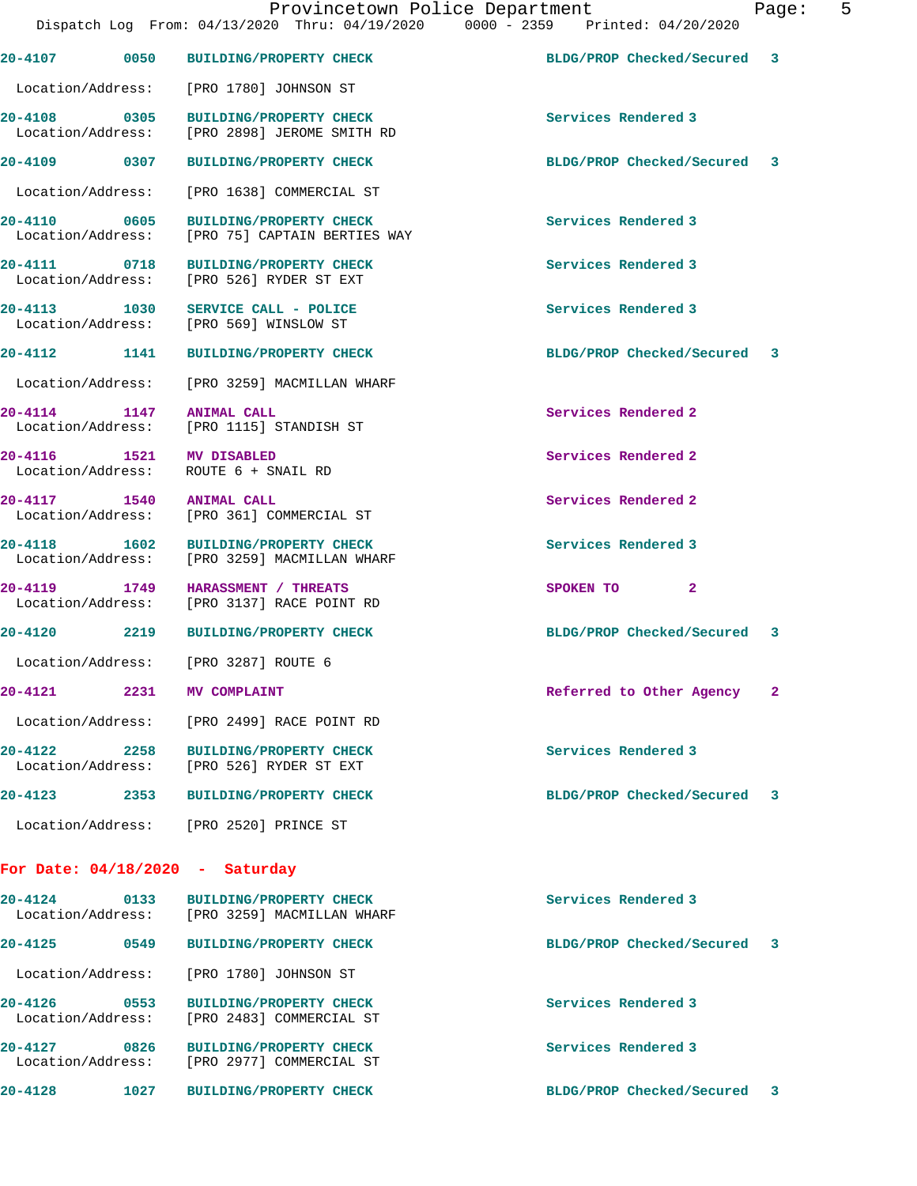|                                   |      | DISPACCII DOG TIOM. 01/13/2020 INIU. 01/13/2020<br>0000 - 4333                       |                             |              |
|-----------------------------------|------|--------------------------------------------------------------------------------------|-----------------------------|--------------|
|                                   |      | 20-4107 0050 BUILDING/PROPERTY CHECK                                                 | BLDG/PROP Checked/Secured 3 |              |
|                                   |      | Location/Address: [PRO 1780] JOHNSON ST                                              |                             |              |
|                                   |      | 20-4108 0305 BUILDING/PROPERTY CHECK<br>Location/Address: [PRO 2898] JEROME SMITH RD | Services Rendered 3         |              |
|                                   |      | 20-4109 0307 BUILDING/PROPERTY CHECK                                                 | BLDG/PROP Checked/Secured 3 |              |
|                                   |      | Location/Address: [PRO 1638] COMMERCIAL ST                                           |                             |              |
| 20-4110                           | 0605 | <b>BUILDING/PROPERTY CHECK</b><br>Location/Address: [PRO 75] CAPTAIN BERTIES WAY     | Services Rendered 3         |              |
|                                   |      | 20-4111 0718 BUILDING/PROPERTY CHECK<br>Location/Address: [PRO 526] RYDER ST EXT     | Services Rendered 3         |              |
|                                   |      | 20-4113 1030 SERVICE CALL - POLICE<br>Location/Address: [PRO 569] WINSLOW ST         | Services Rendered 3         |              |
| 20-4112 1141                      |      | <b>BUILDING/PROPERTY CHECK</b>                                                       | BLDG/PROP Checked/Secured 3 |              |
|                                   |      | Location/Address: [PRO 3259] MACMILLAN WHARF                                         |                             |              |
| 20-4114 1147 ANIMAL CALL          |      | Location/Address: [PRO 1115] STANDISH ST                                             | Services Rendered 2         |              |
| 20-4116   1521   MV DISABLED      |      | Location/Address: ROUTE 6 + SNAIL RD                                                 | Services Rendered 2         |              |
| 20-4117 1540 ANIMAL CALL          |      | Location/Address: [PRO 361] COMMERCIAL ST                                            | Services Rendered 2         |              |
|                                   |      | 20-4118 1602 BUILDING/PROPERTY CHECK<br>Location/Address: [PRO 3259] MACMILLAN WHARF | Services Rendered 3         |              |
|                                   |      | 20-4119 1749 HARASSMENT / THREATS<br>Location/Address: [PRO 3137] RACE POINT RD      | SPOKEN TO<br>$\mathbf{2}$   |              |
| 20-4120 2219                      |      | <b>BUILDING/PROPERTY CHECK</b>                                                       | BLDG/PROP Checked/Secured 3 |              |
|                                   |      | Location/Address: [PRO 3287] ROUTE 6                                                 |                             |              |
| $20 - 4121$                       | 2231 | MV COMPLAINT                                                                         | Referred to Other Agency    | $\mathbf{2}$ |
|                                   |      | Location/Address: [PRO 2499] RACE POINT RD                                           |                             |              |
| 20-4122<br>Location/Address:      | 2258 | <b>BUILDING/PROPERTY CHECK</b><br>[PRO 526] RYDER ST EXT                             | Services Rendered 3         |              |
| $20 - 4123$                       | 2353 | <b>BUILDING/PROPERTY CHECK</b>                                                       | BLDG/PROP Checked/Secured   | 3            |
|                                   |      | Location/Address: [PRO 2520] PRINCE ST                                               |                             |              |
| For Date: $04/18/2020$ - Saturday |      |                                                                                      |                             |              |
| $20 - 4124$                       | 0133 | BUILDING/PROPERTY CHECK<br>Location/Address: [PRO 3259] MACMILLAN WHARF              | Services Rendered 3         |              |
| $20 - 4125$                       | 0549 | <b>BUILDING/PROPERTY CHECK</b>                                                       | BLDG/PROP Checked/Secured   | -3           |
| Location/Address:                 |      | [PRO 1780] JOHNSON ST                                                                |                             |              |
| $20 - 4126$<br>Location/Address:  | 0553 | <b>BUILDING/PROPERTY CHECK</b><br>[PRO 2483] COMMERCIAL ST                           | Services Rendered 3         |              |
| 20-4127<br>Location/Address:      | 0826 | <b>BUILDING/PROPERTY CHECK</b><br>[PRO 2977] COMMERCIAL ST                           | Services Rendered 3         |              |

**20-4128 1027 BUILDING/PROPERTY CHECK BLDG/PROP Checked/Secured 3**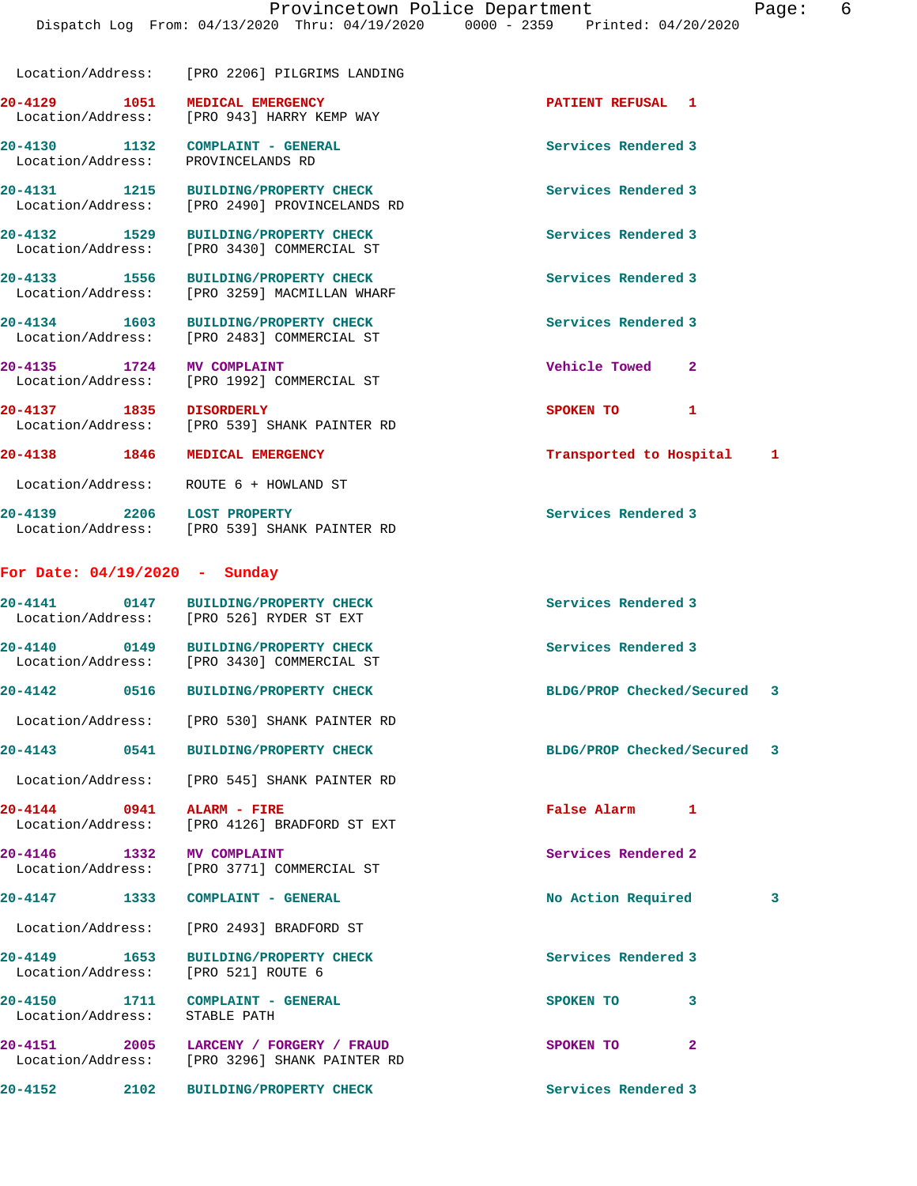|                                   | Location/Address: [PRO 2206] PILGRIMS LANDING                                           |                             |   |
|-----------------------------------|-----------------------------------------------------------------------------------------|-----------------------------|---|
|                                   | 20-4129 1051 MEDICAL EMERGENCY<br>Location/Address: [PRO 943] HARRY KEMP WAY            | PATIENT REFUSAL 1           |   |
| Location/Address:                 | 20-4130 1132 COMPLAINT - GENERAL<br>PROVINCELANDS RD                                    | Services Rendered 3         |   |
| 20-4131 1215                      | BUILDING/PROPERTY CHECK<br>Location/Address: [PRO 2490] PROVINCELANDS RD                | Services Rendered 3         |   |
| 20-4132 1529<br>Location/Address: | <b>BUILDING/PROPERTY CHECK</b><br>[PRO 3430] COMMERCIAL ST                              | Services Rendered 3         |   |
| 20-4133 1556                      | <b>BUILDING/PROPERTY CHECK</b><br>Location/Address: [PRO 3259] MACMILLAN WHARF          | Services Rendered 3         |   |
| 20-4134 1603                      | <b>BUILDING/PROPERTY CHECK</b><br>Location/Address: [PRO 2483] COMMERCIAL ST            | Services Rendered 3         |   |
| 20-4135 1724                      | <b>MV COMPLAINT</b><br>Location/Address: [PRO 1992] COMMERCIAL ST                       | Vehicle Towed<br>2          |   |
| 20-4137 1835 DISORDERLY           | Location/Address: [PRO 539] SHANK PAINTER RD                                            | SPOKEN TO<br>1              |   |
|                                   | 20-4138 1846 MEDICAL EMERGENCY                                                          | Transported to Hospital     | 1 |
|                                   | Location/Address: ROUTE 6 + HOWLAND ST                                                  |                             |   |
| 20-4139 2206 LOST PROPERTY        | Location/Address: [PRO 539] SHANK PAINTER RD                                            | Services Rendered 3         |   |
| For Date: $04/19/2020$ - Sunday   |                                                                                         |                             |   |
| 20-4141 0147                      | <b>BUILDING/PROPERTY CHECK</b><br>Location/Address: [PRO 526] RYDER ST EXT              | Services Rendered 3         |   |
|                                   | 20-4140 0149 BUILDING/PROPERTY CHECK<br>Location/Address: [PRO 3430] COMMERCIAL ST      | Services Rendered 3         |   |
| $20 - 4142$<br>0516               | <b>BUILDING/PROPERTY CHECK</b>                                                          | BLDG/PROP Checked/Secured   | 3 |
|                                   | Location/Address: [PRO 530] SHANK PAINTER RD                                            |                             |   |
|                                   | 20-4143 0541 BUILDING/PROPERTY CHECK                                                    | BLDG/PROP Checked/Secured 3 |   |
|                                   | Location/Address: [PRO 545] SHANK PAINTER RD                                            |                             |   |
| 20-4144 0941 ALARM - FIRE         | Location/Address: [PRO 4126] BRADFORD ST EXT                                            | False Alarm 1               |   |
| 20-4146 1332                      | <b>MV COMPLAINT</b><br>Location/Address: [PRO 3771] COMMERCIAL ST                       | Services Rendered 2         |   |
|                                   | 20-4147 1333 COMPLAINT - GENERAL                                                        | No Action Required          | 3 |
|                                   | Location/Address: [PRO 2493] BRADFORD ST                                                |                             |   |
|                                   | 20-4149 1653 BUILDING/PROPERTY CHECK<br>Location/Address: [PRO 521] ROUTE 6             | Services Rendered 3         |   |
| Location/Address: STABLE PATH     | 20-4150 1711 COMPLAINT - GENERAL                                                        | SPOKEN TO 3                 |   |
|                                   | 20-4151 2005 LARCENY / FORGERY / FRAUD<br>Location/Address: [PRO 3296] SHANK PAINTER RD | SPOKEN TO<br>$\mathbf{2}$   |   |
|                                   | 20-4152 2102 BUILDING/PROPERTY CHECK                                                    | Services Rendered 3         |   |